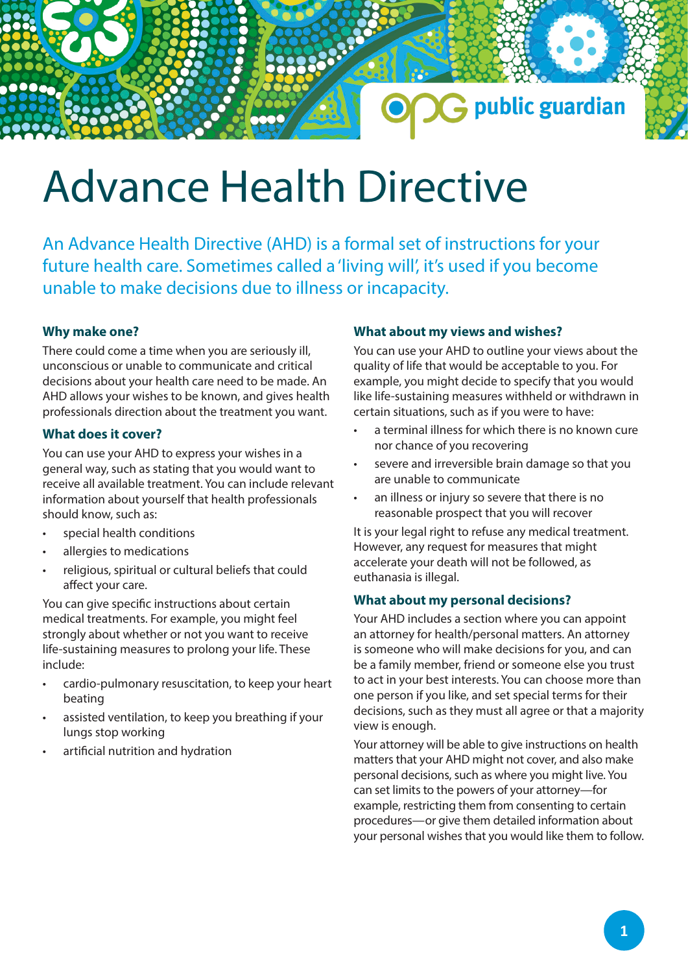# Advance Health Directive

An Advance Health Directive (AHD) is a formal set of instructions for your future health care. Sometimes called a 'living will', it's used if you become unable to make decisions due to illness or incapacity.

## **Why make one?**

There could come a time when you are seriously ill, unconscious or unable to communicate and critical decisions about your health care need to be made. An AHD allows your wishes to be known, and gives health professionals direction about the treatment you want.

## **What does it cover?**

You can use your AHD to express your wishes in a general way, such as stating that you would want to receive all available treatment. You can include relevant information about yourself that health professionals should know, such as:

- special health conditions
- allergies to medications
- religious, spiritual or cultural beliefs that could affect your care.

You can give specific instructions about certain medical treatments. For example, you might feel strongly about whether or not you want to receive life-sustaining measures to prolong your life. These include:

- cardio-pulmonary resuscitation, to keep your heart beating
- assisted ventilation, to keep you breathing if your lungs stop working
- artificial nutrition and hydration

## **What about my views and wishes?**

You can use your AHD to outline your views about the quality of life that would be acceptable to you. For example, you might decide to specify that you would like life-sustaining measures withheld or withdrawn in certain situations, such as if you were to have:

G public guardian

- a terminal illness for which there is no known cure nor chance of you recovering
- severe and irreversible brain damage so that you are unable to communicate
- an illness or injury so severe that there is no reasonable prospect that you will recover

It is your legal right to refuse any medical treatment. However, any request for measures that might accelerate your death will not be followed, as euthanasia is illegal.

### **What about my personal decisions?**

Your AHD includes a section where you can appoint an attorney for health/personal matters. An attorney is someone who will make decisions for you, and can be a family member, friend or someone else you trust to act in your best interests. You can choose more than one person if you like, and set special terms for their decisions, such as they must all agree or that a majority view is enough.

Your attorney will be able to give instructions on health matters that your AHD might not cover, and also make personal decisions, such as where you might live. You can set limits to the powers of your attorney—for example, restricting them from consenting to certain procedures—or give them detailed information about your personal wishes that you would like them to follow.